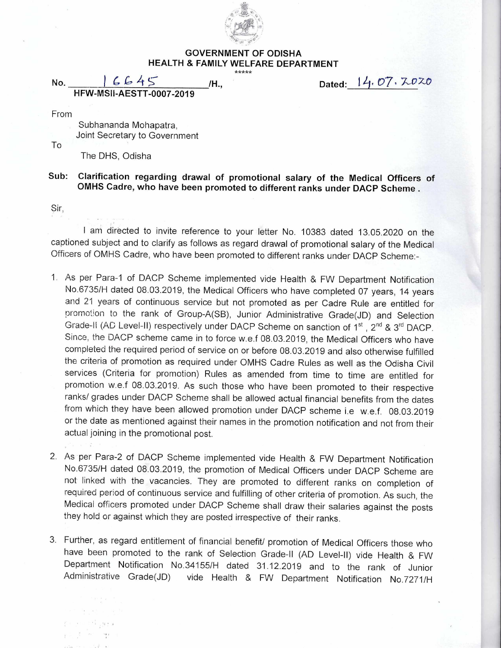

## **GOVERNMENT OF ODISHA HEALTH & FAMILY WELFARE DEPARTMENT**

**No. I C** c, 4 **/H., HFW-MSII-AESTT-0007-2019** 

Dated: 14. 07.  $7.7020$ 

From

To

Subhananda Mohapatra, Joint Secretary to Government

The DHS, Odisha

 $\tau^{\alpha\beta}$  , and

## **Sub: Clarification regarding drawal of promotional salary of the Medical Officers of OMHS Cadre, who have been promoted to different ranks under DACP Scheme .**

Sir,

I am directed to invite reference to your letter No. 10383 dated 13.05.2020 on the captioned subject and to clarify as follows as regard drawal of promotional salary of the Medical Officers of OMHS Cadre, who have been promoted to different ranks under DACP Scheme:-

- 1. As per Para-1 of DACP Scheme implemented vide Health & FW Department Notification No.6735/H dated 08.03.2019, the Medical Officers who have completed 07 years, 14 years and 21 years of continuous service but not promoted as per Cadre Rule are entitled for promotion to the rank of Group-A(SB), Junior Administrative Grade(JD) and Selection Grade-II (AD Level-II) respectively under DACP Scheme on sanction of 1<sup>st</sup>, 2<sup>nd</sup> & 3<sup>rd</sup> DACP. Since, the DACP scheme came in to force w.e.f 08.03.2019, the Medical Officers who have completed the required period of service on or before 08.03.2019 and also otherwise fulfilled the criteria of promotion as required under OMHS Cadre Rules as well as the Odisha Civil services (Criteria for promotion) Rules as amended from time to time are entitled for promotion w.e.f 08.03.2019. As such those who have been promoted to their respective ranks/ grades under DACP Scheme shall be allowed actual financial benefits from the dates from which they have been allowed promotion under DACP scheme i.e w.e.f. 08.03.2019 or the date as mentioned against their names in the promotion notification and not from their actual joining in the promotional post.
- 2. As per Para-2 of DACP Scheme implemented vide Health & FW Department Notification No.6735/H dated 08.03.2019, the promotion of Medical Officers under DACP Scheme are not linked with the vacancies. They are promoted to different ranks on completion of required period of continuous service and fulfilling of other criteria of promotion. As such, the Medical officers promoted under DACP Scheme shall draw their salaries against the posts they hold or against which they are posted irrespective of their ranks.
- 3. Further, as regard entitlement of financial benefit/ promotion of Medical Officers those who have been promoted to the rank of Selection Grade-II (AD Level-II) vide Health & FW Department Notification No.34155/H dated 31.12.2019 and to the rank of Junior Administrative Grade(JD) vide Health & FW Department Notification No.7271/H